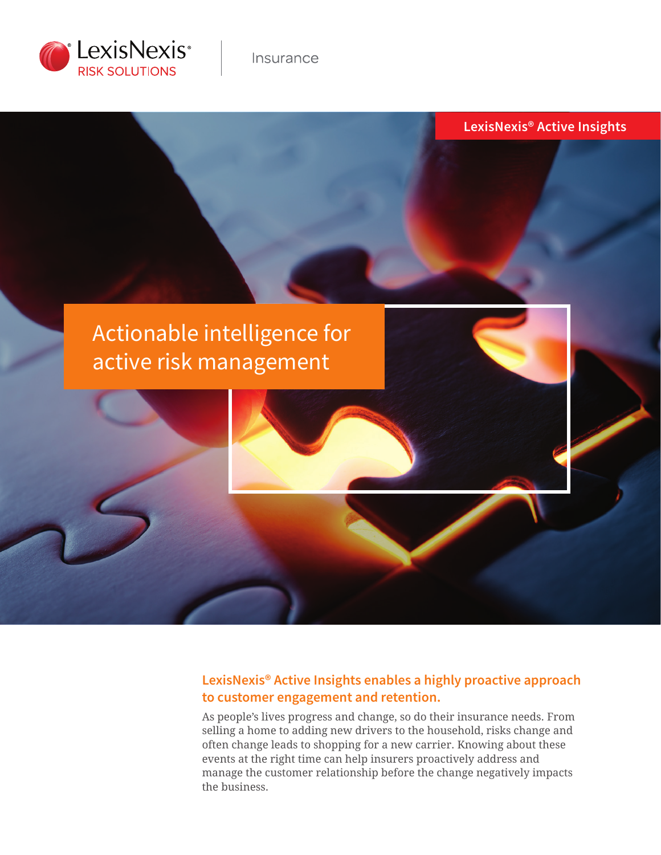

**LexisNexis® Active Insights**

# Actionable intelligence for active risk management

## **LexisNexis® Active Insights enables a highly proactive approach to customer engagement and retention.**

As people's lives progress and change, so do their insurance needs. From selling a home to adding new drivers to the household, risks change and often change leads to shopping for a new carrier. Knowing about these events at the right time can help insurers proactively address and manage the customer relationship before the change negatively impacts the business.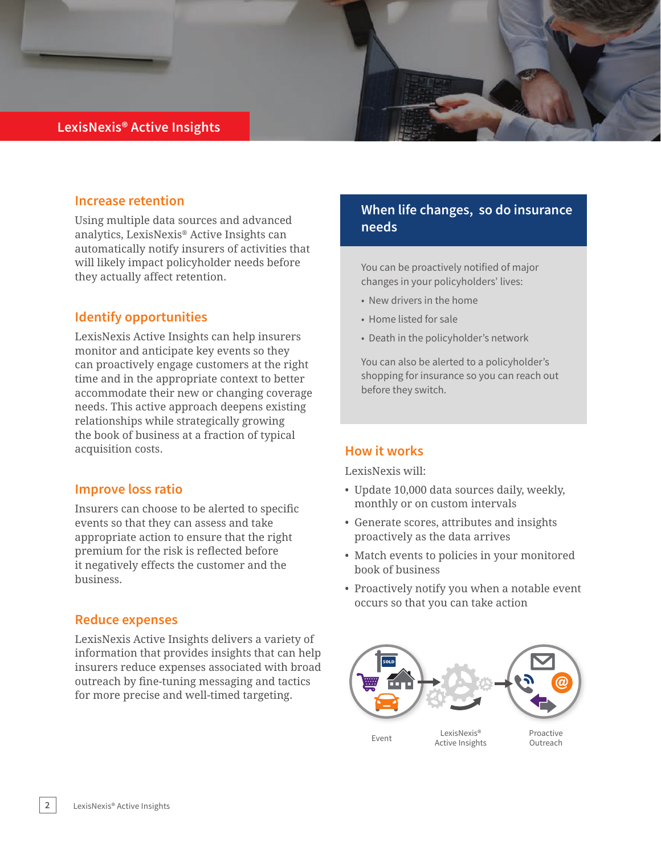### **LexisNexis® Active Insights**

### **Increase retention**

Using multiple data sources and advanced analytics, LexisNexis® Active Insights can automatically notify insurers of activities that will likely impact policyholder needs before they actually affect retention.

### **Identify opportunities**

LexisNexis Active Insights can help insurers monitor and anticipate key events so they can proactively engage customers at the right time and in the appropriate context to better accommodate their new or changing coverage needs. This active approach deepens existing relationships while strategically growing the book of business at a fraction of typical acquisition costs.

### **Improve loss ratio**

Insurers can choose to be alerted to specific events so that they can assess and take appropriate action to ensure that the right premium for the risk is reflected before it negatively effects the customer and the business.

### **Reduce expenses**

LexisNexis Active Insights delivers a variety of information that provides insights that can help insurers reduce expenses associated with broad outreach by fine-tuning messaging and tactics for more precise and well-timed targeting.

## **When life changes, so do insurance needs**

You can be proactively notified of major changes in your policyholders' lives:

- New drivers in the home
- Home listed for sale
- Death in the policyholder's network

You can also be alerted to a policyholder's shopping for insurance so you can reach out before they switch.

### **How it works**

LexisNexis will:

- Update 10,000 data sources daily, weekly, monthly or on custom intervals
- Generate scores, attributes and insights proactively as the data arrives
- Match events to policies in your monitored book of business
- Proactively notify you when a notable event occurs so that you can take action



Active Insights

Proactive Outreach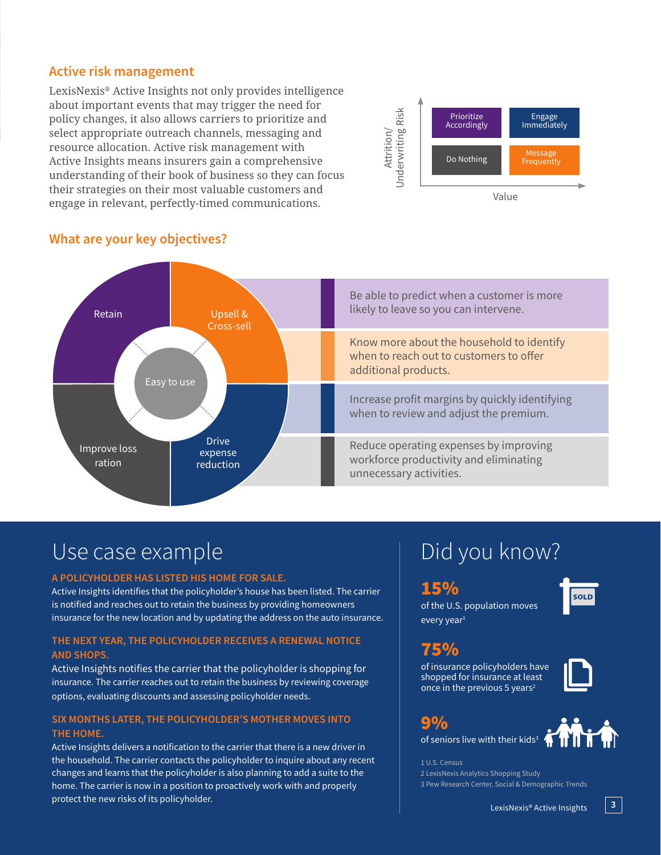### **Active risk management**

LexisNexis® Active Insights not only provides intelligence about important events that may trigger the need for policy changes, it also allows carriers to prioritize and select appropriate outreach channels, messaging and resource allocation. Active risk management with Active Insights means insurers gain a comprehensive understanding of their book of business so they can focus their strategies on their most valuable customers and engage in relevant, perfectly-timed communications.



#### Be able to predict when a customer is more likely to leave so you can intervene. Know more about the household to identify when to reach out to customers to offer additional products. Increase profit margins by quickly identifying when to review and adjust the premium. Reduce operating expenses by improving workforce productivity and eliminating unnecessary activities. Retain Improve loss ration Upsell & Cross-sell Drive expense reduction Easy to use

## **What are your key objectives?**

# Use case example

#### **A POLICYHOLDER HAS LISTED HIS HOME FOR SALE.**

Active Insights identifies that the policyholder's house has been listed. The carrier is notified and reaches out to retain the business by providing homeowners insurance for the new location and by updating the address on the auto insurance.

### **THE NEXT YEAR, THE POLICYHOLDER RECEIVES A RENEWAL NOTICE AND SHOPS.**

Active Insights notifies the carrier that the policyholder is shopping for insurance. The carrier reaches out to retain the business by reviewing coverage options, evaluating discounts and assessing policyholder needs.

### **SIX MONTHS LATER, THE POLICYHOLDER'S MOTHER MOVES INTO THE HOME.**

Active Insights delivers a notification to the carrier that there is a new driver in the household. The carrier contacts the policyholder to inquire about any recent changes and learns that the policyholder is also planning to add a suite to the home. The carrier is now in a position to proactively work with and properly protect the new risks of its policyholder.

# Did you know?

### 15%

of the U.S. population moves every year<sup>1</sup>

## 75%

9%

of insurance policyholders have shopped for insurance at least once in the previous 5 years<sup>2</sup>



**SOLD** 



of seniors live with their kids<sup>3</sup>

1 U.S. Census 2 LexisNexis Analytics Shopping Study 3 Pew Research Center, Social & Demographic Trends